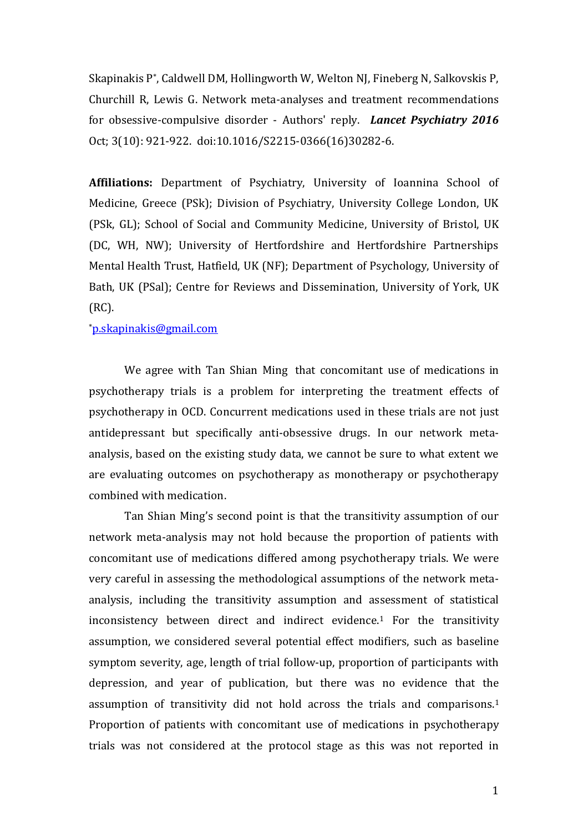Skapinakis P\* , Caldwell DM, Hollingworth W, Welton NJ, Fineberg N, Salkovskis P, Churchill R, Lewis G. Network meta-analyses and treatment recommendations for obsessive-compulsive disorder - Authors' reply. *Lancet Psychiatry 2016*  Oct; 3(10): 921-922. doi:10.1016/S2215-0366(16)30282-6.

**Affiliations:** Department of Psychiatry, University of Ioannina School of Medicine, Greece (PSk); Division of Psychiatry, University College London, UK (PSk, GL); School of Social and Community Medicine, University of Bristol, UK (DC, WH, NW); University of Hertfordshire and Hertfordshire Partnerships Mental Health Trust, Hatfield, UK (NF); Department of Psychology, University of Bath, UK (PSal); Centre for Reviews and Dissemination, University of York, UK (RC).

## \*[p.skapinakis@gmail.com](mailto:p.skapinakis@gmail.com)

We agree with Tan Shian Ming that concomitant use of medications in psychotherapy trials is a problem for interpreting the treatment effects of psychotherapy in OCD. Concurrent medications used in these trials are not just antidepressant but specifically anti-obsessive drugs. In our network metaanalysis, based on the existing study data, we cannot be sure to what extent we are evaluating outcomes on psychotherapy as monotherapy or psychotherapy combined with medication.

Tan Shian Ming's second point is that the transitivity assumption of our network meta-analysis may not hold because the proportion of patients with concomitant use of medications differed among psychotherapy trials. We were very careful in assessing the methodological assumptions of the network metaanalysis, including the transitivity assumption and assessment of statistical inconsistency between direct and indirect evidence. <sup>1</sup> For the transitivity assumption, we considered several potential effect modifiers, such as baseline symptom severity, age, length of trial follow-up, proportion of participants with depression, and year of publication, but there was no evidence that the assumption of transitivity did not hold across the trials and comparisons. 1 Proportion of patients with concomitant use of medications in psychotherapy trials was not considered at the protocol stage as this was not reported in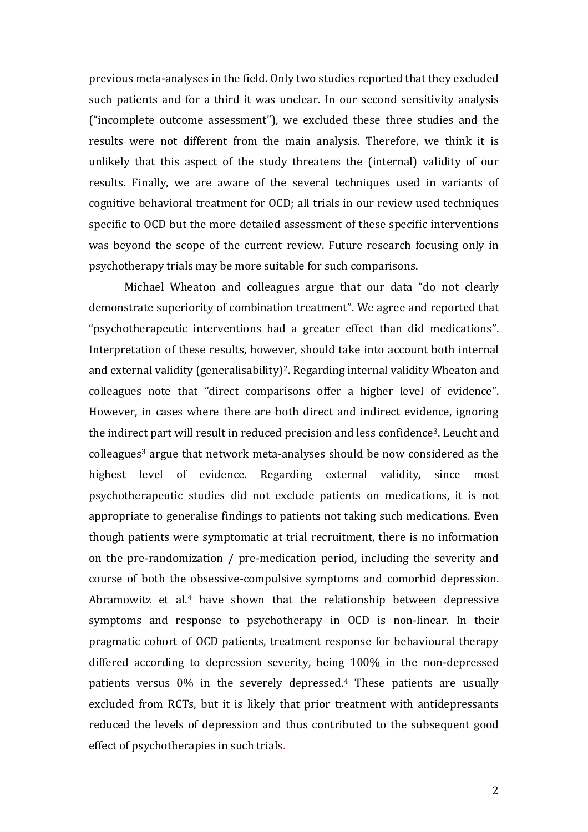previous meta-analyses in the field. Only two studies reported that they excluded such patients and for a third it was unclear. In our second sensitivity analysis ("incomplete outcome assessment"), we excluded these three studies and the results were not different from the main analysis. Therefore, we think it is unlikely that this aspect of the study threatens the (internal) validity of our results. Finally, we are aware of the several techniques used in variants of cognitive behavioral treatment for OCD; all trials in our review used techniques specific to OCD but the more detailed assessment of these specific interventions was beyond the scope of the current review. Future research focusing only in psychotherapy trials may be more suitable for such comparisons.

 Michael Wheaton and colleagues argue that our data "do not clearly demonstrate superiority of combination treatment". We agree and reported that "psychotherapeutic interventions had a greater effect than did medications". Interpretation of these results, however, should take into account both internal and external validity (generalisability)2. Regarding internal validity Wheaton and colleagues note that "direct comparisons offer a higher level of evidence". However, in cases where there are both direct and indirect evidence, ignoring the indirect part will result in reduced precision and less confidence3. Leucht and colleagues<sup>3</sup> argue that network meta-analyses should be now considered as the highest level of evidence. Regarding external validity, since most psychotherapeutic studies did not exclude patients on medications, it is not appropriate to generalise findings to patients not taking such medications. Even though patients were symptomatic at trial recruitment, there is no information on the pre-randomization / pre-medication period, including the severity and course of both the obsessive-compulsive symptoms and comorbid depression. Abramowitz et al.<sup>4</sup> have shown that the relationship between depressive symptoms and response to psychotherapy in OCD is non-linear. In their pragmatic cohort of OCD patients, treatment response for behavioural therapy differed according to depression severity, being 100% in the non-depressed patients versus 0% in the severely depressed. <sup>4</sup> These patients are usually excluded from RCTs, but it is likely that prior treatment with antidepressants reduced the levels of depression and thus contributed to the subsequent good effect of psychotherapies in such trials**.**